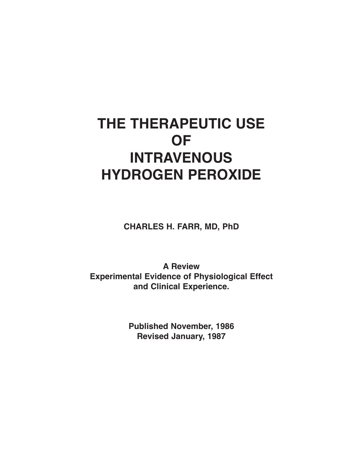# **THE THERAPEUTIC USE OF INTRAVENOUS HYDROGEN PEROXIDE**

**CHARLES H. FARR, MD, PhD**

**A Review Experimental Evidence of Physiological Effect and Clinical Experience.**

> **Published November, 1986 Revised January, 1987**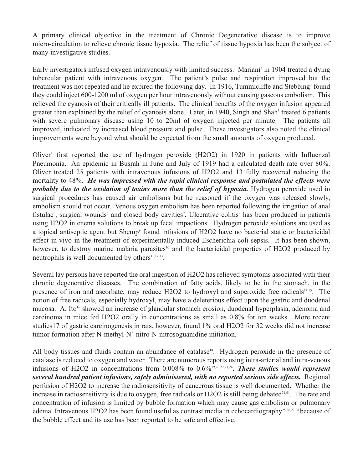A primary clinical objective in the treatment of Chronic Degenerative disease is to improve micro-circulation to relieve chronic tissue hypoxia. The relief of tissue hypoxia has been the subject of many investigative studies.

Early investigators infused oxygen intravenously with limited success. Mariani in 1904 treated a dying tubercular patient with intravenous oxygen. The patient's pulse and respiration improved but the treatment was not repeated and he expired the following day. In 1916, Tummicliffe and Stebbing<sup>2</sup> found they could inject 600-1200 ml of oxygen per hour intravenously without causing gaseous embolism. This relieved the cyanosis of their critically ill patients. The clinical benefits of the oxygen infusion appeared greater than explained by the relief of cyanosis alone. Later, in 1940, Singh and Shah<sup>3</sup> treated 6 patients with severe pulmonary disease using 10 to 20ml of oxygen injected per minute. The patients all improved, indicated by increased blood pressure and pulse. These investigators also noted the clinical improvements were beyond what should be expected from the small amounts of oxygen produced.

Oliver<sup>4</sup> first reported the use of hydrogen peroxide  $(H2O2)$  in 1920 in patients with Influenzal Pneumonia. An epidemic in Busrah in June and July of 1919 had a calculated death rate over 80%. Oliver treated 25 patients with intravenous infusions of H2O2 and 13 fully recovered reducing the mortality to 48%. *He was impressed with the rapid clinical response and postulated the effects were probably due to the oxidation of toxins more than the relief of hypoxia.* Hydrogen peroxide used in surgical procedures has caused air embolisms but he reasoned if the oxygen was released slowly, embolism should not occur. Venous oxygen embolism has been reported following the irrigation of anal fistulae<sup>5</sup>, surgical wounds<sup>6</sup> and closed body cavities<sup>7</sup>. Ulcerative colitis<sup>8</sup> has been produced in patients using H2O2 in enema solutions to break up fecal impactions. Hydrogen peroxide solutions are used as a topical antiseptic agent but Shemp<sup>9</sup> found infusions of H2O2 have no bacterial static or bactericidal effect in-vivo in the treatment of experimentally induced Escherichia coli sepsis. It has been shown, however, to destroy marine malaria parasites<sup>10</sup> and the bactericidal properties of H2O2 produced by neutrophils is well documented by others<sup>11,12,13</sup>.

Several lay persons have reported the oral ingestion of H2O2 has relieved symptoms associated with their chronic degenerative diseases. The combination of fatty acids, likely to be in the stomach, in the presence of iron and ascorbate, may reduce H2O2 to hydroxyl and superoxide free radicals<sup>14,15</sup>. The action of free radicals, especially hydroxyl, may have a deleterious effect upon the gastric and duodenal mucosa. A. Ito<sup>16</sup> showed an increase of glandular stomach erosion, duodenal hyperplasia, adenoma and carcinoma in mice fed H2O2 orally in concentrations as small as 0.8% for ten weeks. More recent studies17 of gastric carcinogenesis in rats, however, found 1% oral H2O2 for 32 weeks did not increase tumor formation after N-methyl-N'-nitro-N-nitrosoguanidine initiation.

All body tissues and fluids contain an abundance of catalase<sup>18</sup>. Hydrogen peroxide in the presence of catalase is reduced to oxygen and water. There are numerous reports using intra-arterial and intra-venous infusions of H2O2 in concentrations from 0.008% to 0.6%19,20,22,23,24. *These studies would represent several hundred patient infusions, safely administered, with no reported serious side effects.* Regional perfusion of H2O2 to increase the radiosensitivity of cancerous tissue is well documented. Whether the increase in radiosensitivity is due to oxygen, free radicals or  $H2O2$  is still being debated $^{21,51}$ . The rate and concentration of infusion is limited by bubble formation which may cause gas embolism or pulmonary edema. Intravenous H2O2 has been found useful as contrast media in echocardiography<sup>25,26,27,28</sup> because of the bubble effect and its use has been reported to be safe and effective.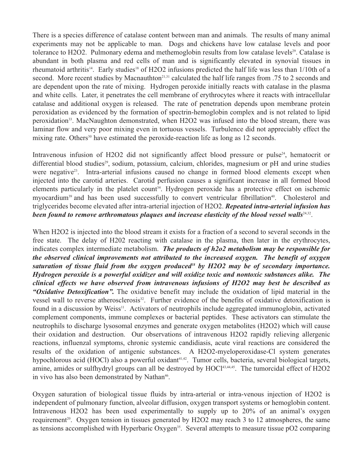There is a species difference of catalase content between man and animals. The results of many animal experiments may not be applicable to man. Dogs and chickens have low catalase levels and poor tolerance to H2O2. Pulmonary edema and methemoglobin results from low catalase levels<sup>29</sup>. Catalase is abundant in both plasma and red cells of man and is significantly elevated in synovial tissues in rheumatoid arthritis<sup>14</sup>. Early studies<sup>18</sup> of H2O2 infusions predicted the half life was less than 1/10th of a second. More recent studies by Macnauthton<sup>21,31</sup> calculated the half life ranges from .75 to 2 seconds and are dependent upon the rate of mixing. Hydrogen peroxide initially reacts with catalase in the plasma and white cells. Later, it penetrates the cell membrane of erythrocytes where it reacts with intracellular catalase and additional oxygen is released. The rate of penetration depends upon membrane protein peroxidation as evidenced by the formation of spectrin-hemoglobin complex and is not related to lipid peroxidation<sup>33</sup>. MacNaughton demonstrated, when H2O2 was infused into the blood stream, there was laminar flow and very poor mixing even in tortuous vessels. Turbulence did not appreciably effect the mixing rate. Others<sup>30</sup> have estimated the peroxide-reaction life as long as 12 seconds.

Intravenous infusion of H2O2 did not significantly affect blood pressure or pulse<sup>24</sup>, hematocrit or differential blood studies<sup>29</sup>, sodium, potassium, calcium, chlorides, magnesium or pH and urine studies were negative<sup>23</sup>. Intra-arterial infusions caused no change in formed blood elements except when injected into the carotid arteries. Carotid perfusion causes a significant increase in all formed blood elements particularly in the platelet count<sup>34</sup>. Hydrogen peroxide has a protective effect on ischemic myocardium<sup>39</sup> and has been used successfully to convert ventricular fibrillation<sup>40</sup>. Cholesterol and triglycerides become elevated after intra-arterial injection of H2O2. *Repeated intra-arterial infusion has been found to remove arthromatous plaques and increase elasticity of the blood vessel walls*<sup>24,32</sup>.

When H2O2 is injected into the blood stream it exists for a fraction of a second to several seconds in the free state. The delay of H202 reacting with catalase in the plasma, then later in the erythrocytes, indicates complex intermediate metabolism. *The products of h2o2 metabolism may be responsible for the observed clinical improvements not attributed to the increased oxygen. The benefit of oxygen saturation of tissue fluid from the oxygen produced18 by H2O2 may be of secondary importance. Hydrogen peroxide is a powerful oxidizer and will oxidize toxic and nontoxic substances alike. The clinical effects we have observed from intravenous infusions of H2O2 may best be described as "Oxidative Detoxification".* The oxidative benefit may include the oxidation of lipid material in the vessel wall to reverse atherosclerosis<sup>32</sup>. Further evidence of the benefits of oxidative detoxification is found in a discussion by Weiss<sup>11</sup>. Activators of neutrophils include aggregated immunoglobin, activated complement components, immune complexes or bacterial peptides. These activators can stimulate the neutrophils to discharge lysosomal enzymes and generate oxygen metabolites (H2O2) which will cause their oxidation and destruction. Our observations of intravenous H2O2 rapidly relieving allergenic reactions, influenzal symptoms, chronic systemic candidiasis, acute viral reactions are considered the results of the oxidation of antigenic substances. A H2O2-myeloperoxidase-Cl system generates hypochlorous acid (HOCl) also a powerful oxidant<sup>41,42</sup>. Tumor cells, bacteria, several biological targets, amine, amides or sulfhydryl groups can all be destroyed by HOCl<sup>43,44,45</sup>. The tumorcidal effect of H2O2 in vivo has also been demonstrated by Nathan<sup>46</sup>.

Oxygen saturation of biological tissue fluids by intra-arterial or intra-venous injection of H2O2 is independent of pulmonary function, alveolar diffusion, oxygen transport systems or hemoglobin content. Intravenous H2O2 has been used experimentally to supply up to 20% of an animal's oxygen requirement<sup>20</sup>. Oxygen tension in tissues generated by  $H2O2$  may reach 3 to 12 atmospheres, the same as tensions accomplished with Hyperbaric Oxygen<sup>35</sup>. Several attempts to measure tissue  $pO2$  comparing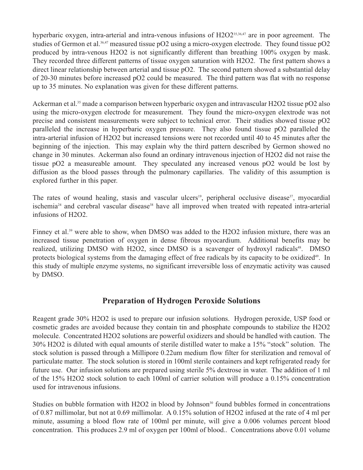hyperbaric oxygen, intra-arterial and intra-venous infusions of H2O2<sup>35,36,47</sup> are in poor agreement. The studies of Germon et al.<sup>36,47</sup> measured tissue pO2 using a micro-oxygen electrode. They found tissue pO2 produced by intra-venous H2O2 is not significantly different than breathing 100% oxygen by mask. They recorded three different patterns of tissue oxygen saturation with H2O2. The first pattern shows a direct linear relationship between arterial and tissue pO2. The second pattern showed a substantial delay of 20-30 minutes before increased pO2 could be measured. The third pattern was flat with no response up to 35 minutes. No explanation was given for these different patterns.

Ackerman et al.<sup>35</sup> made a comparison between hyperbaric oxygen and intravascular H2O2 tissue pO2 also using the micro-oxygen electrode for measurement. They found the micro-oxygen elextrode was not precise and consistent measurements were subject to technical error. Their studies showed tissue pO2 paralleled the increase in hyperbaric oxygen pressure. They also found tissue pO2 paralleled the intra-arterial infusion of H2O2 but increased tensions were not recorded until 40 to 45 minutes after the beginning of the injection. This may explain why the third pattern described by Germon showed no change in 30 minutes. Ackerman also found an ordinary intravenous injection of H2O2 did not raise the tissue pO2 a measureable amount. They speculated any increased venous pO2 would be lost by diffusion as the blood passes through the pulmonary capillaries. The validity of this assumption is explored further in this paper.

The rates of wound healing, stasis and vascular ulcers<sup>19</sup>, peripheral occlusive disease<sup>37</sup>, myocardial ischemia<sup>24</sup> and cerebral vascular disease<sup>38</sup> have all improved when treated with repeated intra-arterial infusions of H2O2.

Finney et al.<sup>39</sup> were able to show, when DMSO was added to the H2O2 infusion mixture, there was an increased tissue penetration of oxygen in dense fibrous myocardium. Additional benefits may be realized, utilizing DMSO with H2O2, since DMSO is a scavenger of hydroxyl radicals<sup>48</sup>. DMSO protects biological systems from the damaging effect of free radicals by its capacity to be oxidized<sup>49</sup>. In this study of multiple enzyme systems, no significant irreversible loss of enzymatic activity was caused by DMSO.

# **Preparation of Hydrogen Peroxide Solutions**

Reagent grade 30% H2O2 is used to prepare our infusion solutions. Hydrogen peroxide, USP food or cosmetic grades are avoided because they contain tin and phosphate compounds to stabilize the H2O2 molecule. Concentrated H2O2 solutions are powerful oxidizers and should be handled with caution. The 30% H2O2 is diluted with equal amounts of sterile distilled water to make a 15% "stock" solution. The stock solution is passed through a Millipore 0.22um medium flow filter for sterilization and removal of particulate matter. The stock solution is stored in 100ml sterile containers and kept refrigerated ready for future use. Our infusion solutions are prepared using sterile 5% dextrose in water. The addition of 1 ml of the 15% H2O2 stock solution to each 100ml of carrier solution will produce a 0.15% concentration used for intravenous infusions.

Studies on bubble formation with H2O2 in blood by Johnson<sup>30</sup> found bubbles formed in concentrations of 0.87 millimolar, but not at 0.69 millimolar. A 0.15% solution of H2O2 infused at the rate of 4 ml per minute, assuming a blood flow rate of 100ml per minute, will give a 0.006 volumes percent blood concentration. This produces 2.9 ml of oxygen per 100ml of blood.. Concentrations above 0.01 volume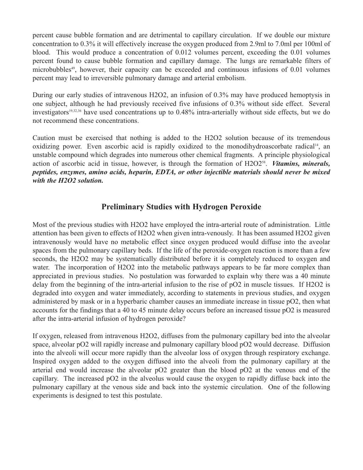percent cause bubble formation and are detrimental to capillary circulation. If we double our mixture concentration to 0.3% it will effectively increase the oxygen produced from 2.9ml to 7.0ml per 100ml of blood. This would produce a concentration of 0.012 volumes percent, exceeding the 0.01 volumes percent found to cause bubble formation and capillary damage. The lungs are remarkable filters of microbubbles<sup>49</sup>, however, their capacity can be exceeded and continuous infusions of  $0.01$  volumes percent may lead to irreversible pulmonary damage and arterial embolism.

During our early studies of intravenous H2O2, an infusion of 0.3% may have produced hemoptysis in one subject, although he had previously received five infusions of 0.3% without side effect. Several investigators<sup>19,32,36</sup> have used concentrations up to 0.48% intra-arterially without side effects, but we do not recommend these concentrations.

Caution must be exercised that nothing is added to the H2O2 solution because of its tremendous oxidizing power. Even ascorbic acid is rapidly oxidized to the monodihydroascorbate radical<sup>14</sup>, an unstable compound which degrades into numerous other chemical fragments. A principle physiological action of ascorbic acid in tissue, however, is through the formation of H2O2<sup>58</sup>. *Vitamins, minerals, peptides, enzymes, amino acids, heparin, EDTA, or other injectible materials should never be mixed with the H2O2 solution.*

# **Preliminary Studies with Hydrogen Peroxide**

Most of the previous studies with H2O2 have employed the intra-arterial route of administration. Little attention has been given to effects of H2O2 when given intra-venously. It has been assumed H2O2 given intravenously would have no metabolic effect since oxygen produced would diffuse into the aveolar spaces from the pulmonary capillary beds. If the life of the peroxide-oxygen reaction is more than a few seconds, the H2O2 may be systematically distributed before it is completely reduced to oxygen and water. The incorporation of H2O2 into the metabolic pathways appears to be far more complex than appreciated in previous studies. No postulation was forwarded to explain why there was a 40 minute delay from the beginning of the intra-arterial infusion to the rise of pO2 in muscle tissues. If H2O2 is degraded into oxygen and water immediately, according to statements in previous studies, and oxygen administered by mask or in a hyperbaric chamber causes an immediate increase in tissue pO2, then what accounts for the findings that a 40 to 45 minute delay occurs before an increased tissue pO2 is measured after the intra-arterial infusion of hydrogen peroxide?

If oxygen, released from intravenous H2O2, diffuses from the pulmonary capillary bed into the alveolar space, alveolar pO2 will rapidly increase and pulmonary capillary blood pO2 would decrease. Diffusion into the alveoli will occur more rapidly than the alveolar loss of oxygen through respiratory exchange. Inspired oxygen added to the oxygen diffused into the alveoli from the pulmonary capillary at the arterial end would increase the alveolar pO2 greater than the blood pO2 at the venous end of the capillary. The increased pO2 in the alveolus would cause the oxygen to rapidly diffuse back into the pulmonary capillary at the venous side and back into the systemic circulation. One of the following experiments is designed to test this postulate.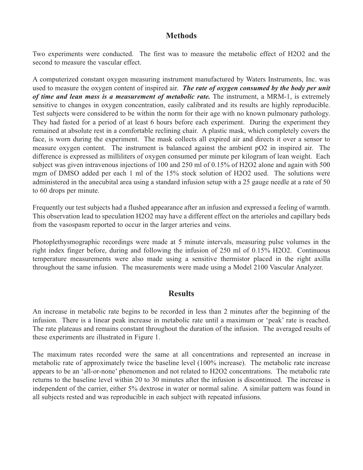## **Methods**

Two experiments were conducted. The first was to measure the metabolic effect of H2O2 and the second to measure the vascular effect.

A computerized constant oxygen measuring instrument manufactured by Waters Instruments, Inc. was used to measure the oxygen content of inspired air. *The rate of oxygen consumed by the body per unit of time and lean mass is a measurement of metabolic rate.* The instrument, a MRM-1, is extremely sensitive to changes in oxygen concentration, easily calibrated and its results are highly reproducible. Test subjects were considered to be within the norm for their age with no known pulmonary pathology. They had fasted for a period of at least 6 hours before each experiment. During the experiment they remained at absolute rest in a comfortable reclining chair. A plastic mask, which completely covers the face, is worn during the experiment. The mask collects all expired air and directs it over a sensor to measure oxygen content. The instrument is balanced against the ambient pO2 in inspired air. The difference is expressed as milliliters of oxygen consumed per minute per kilogram of lean weight. Each subject was given intravenous injections of 100 and 250 ml of 0.15% of H2O2 alone and again with 500 mgm of DMSO added per each 1 ml of the 15% stock solution of H2O2 used. The solutions were administered in the anecubital area using a standard infusion setup with a 25 gauge needle at a rate of 50 to 60 drops per minute.

Frequently our test subjects had a flushed appearance after an infusion and expressed a feeling of warmth. This observation lead to speculation H2O2 may have a different effect on the arterioles and capillary beds from the vasospasm reported to occur in the larger arteries and veins.

Photoplethysmographic recordings were made at 5 minute intervals, measuring pulse volumes in the right index finger before, during and following the infusion of 250 ml of 0.15% H2O2. Continuous temperature measurements were also made using a sensitive thermistor placed in the right axilla throughout the same infusion. The measurements were made using a Model 2100 Vascular Analyzer.

## **Results**

An increase in metabolic rate begins to be recorded in less than 2 minutes after the beginning of the infusion. There is a linear peak increase in metabolic rate until a maximum or 'peak' rate is reached. The rate plateaus and remains constant throughout the duration of the infusion. The averaged results of these experiments are illustrated in Figure 1.

The maximum rates recorded were the same at all concentrations and represented an increase in metabolic rate of approximately twice the baseline level (100% increase). The metabolic rate increase appears to be an 'all-or-none' phenomenon and not related to H2O2 concentrations. The metabolic rate returns to the baseline level within 20 to 30 minutes after the infusion is discontinued. The increase is independent of the carrier, either 5% dextrose in water or normal saline. A similar pattern was found in all subjects rested and was reproducible in each subject with repeated infusions.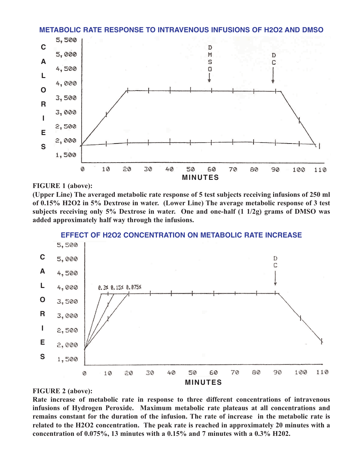



#### **FIGURE 1 (above):**

**(Upper Line) The averaged metabolic rate response of 5 test subjects receiving infusions of 250 ml of 0.15% H2O2 in 5% Dextrose in water. (Lower Line) The average metabolic response of 3 test subjects receiving only 5% Dextrose in water. One and one-half (1 1/2g) grams of DMSO was added approximately half way through the infusions.**



**EFFECT OF H2O2 CONCENTRATION ON METABOLIC RATE INCREASE**

#### **FIGURE 2 (above):**

**Rate increase of metabolic rate in response to three different concentrations of intravenous infusions of Hydrogen Peroxide. Maximum metabolic rate plateaus at all concentrations and remains constant for the duration of the infusion. The rate of increase in the metabolic rate is related to the H2O2 concentration. The peak rate is reached in approximately 20 minutes with a concentration of 0.075%, 13 minutes with a 0.15% and 7 minutes with a 0.3% H202.**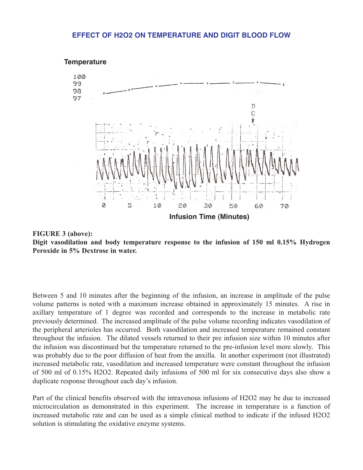#### **EFFECT OF H2O2 ON TEMPERATURE AND DIGIT BLOOD FLOW**





Between 5 and 10 minutes after the beginning of the infusion, an increase in amplitude of the pulse volume patterns is noted with a maximum increase obtained in approximately 15 minutes. A rise in axillary temperature of 1 degree was recorded and corresponds to the increase in metabolic rate previously determined. The increased amplitude of the pulse volume recording indicates vasodilation of the peripheral arterioles has occurred. Both vasodilation and increased temperature remained constant throughout the infusion. The dilated vessels returned to their pre infusion size within 10 minutes after the infusion was discontinued but the temperature returned to the pre-infusion level more slowly. This was probably due to the poor diffusion of heat from the anxilla. In another experiment (not illustrated) increased metabolic rate, vasodilation and increased temperature were constant throughout the infusion of 500 ml of 0.15% H2O2. Repeated daily infusions of 500 ml for six consecutive days also show a duplicate response throughout each day's infusion.

Part of the clinical benefits observed with the intravenous infusions of H2O2 may be due to increased microcirculation as demonstrated in this experiment. The increase in temperature is a function of increased metabolic rate and can be used as a simple clinical method to indicate if the infused H2O2 solution is stimulating the oxidative enzyme systems.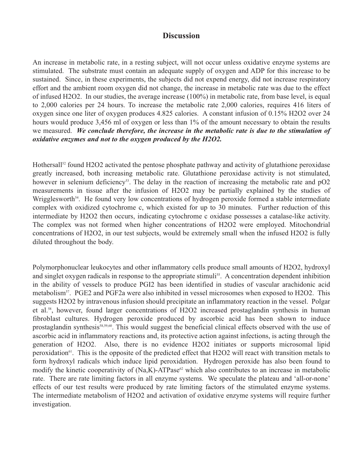## **Discussion**

An increase in metabolic rate, in a resting subject, will not occur unless oxidative enzyme systems are stimulated. The substrate must contain an adequate supply of oxygen and ADP for this increase to be sustained. Since, in these experiments, the subjects did not expend energy, did not increase respiratory effort and the ambient room oxygen did not change, the increase in metabolic rate was due to the effect of infused H2O2. In our studies, the average increase (100%) in metabolic rate, from base level, is equal to 2,000 calories per 24 hours. To increase the metabolic rate 2,000 calories, requires 416 liters of oxygen since one liter of oxygen produces 4.825 calories. A constant infusion of 0.15% H2O2 over 24 hours would produce 3,456 ml of oxygen or less than 1% of the amount necessary to obtain the results we measured. *We conclude therefore, the increase in the metabolic rate is due to the stimulation of oxidative enzymes and not to the oxygen produced by the H2O2.*

Hothersall<sup>52</sup> found H2O2 activated the pentose phosphate pathway and activity of glutathione peroxidase greatly increased, both increasing metabolic rate. Glutathione peroxidase activity is not stimulated, however in selenium deficiency<sup>53</sup>. The delay in the reaction of increasing the metabolic rate and pO2 measurements in tissue after the infusion of H2O2 may be partially explained by the studies of Wrigglesworth<sup>54</sup>. He found very low concentrations of hydrogen peroxide formed a stable intermediate complex with oxidized cytochrome c, which existed for up to 30 minutes. Further reduction of this intermediate by H2O2 then occurs, indicating cytochrome c oxidase possesses a catalase-like activity. The complex was not formed when higher concentrations of H2O2 were employed. Mitochondrial concentrations of H2O2, in our test subjects, would be extremely small when the infused H2O2 is fully diluted throughout the body.

Polymorphonuclear leukocytes and other inflammatory cells produce small amounts of H2O2, hydroxyl and singlet oxygen radicals in response to the appropriate stimuli<sup>55</sup>. A concentration dependent inhibition in the ability of vessels to produce PGI2 has been identified in studies of vascular arachidonic acid metabolism<sup>57</sup>. PGE2 and PGF2a were also inhibited in vessel microsomes when exposed to H2O2. This suggests H2O2 by intravenous infusion should precipitate an inflammatory reaction in the vessel. Polgar et al.58, however, found larger concentrations of H2O2 increased prostaglandin synthesis in human fibroblast cultures. Hydrogen peroxide produced by ascorbic acid has been shown to induce prostaglandin synthesis<sup>58,59,60</sup>. This would suggest the beneficial clinical effects observed with the use of ascorbic acid in inflammatory reactions and, its protective action against infections, is acting through the generation of H2O2. Also, there is no evidence H2O2 initiates or supports microsomal lipid peroxidation61. This is the opposite of the predicted effect that H2O2 will react with transition metals to form hydroxyl radicals which induce lipid peroxidation. Hydrogen peroxide has also been found to modify the kinetic cooperativity of  $(Na,K)$ -ATPase<sup>62</sup> which also contributes to an increase in metabolic rate. There are rate limiting factors in all enzyme systems. We speculate the plateau and 'all-or-none' effects of our test results were produced by rate limiting factors of the stimulated enzyme systems. The intermediate metabolism of H2O2 and activation of oxidative enzyme systems will require further investigation.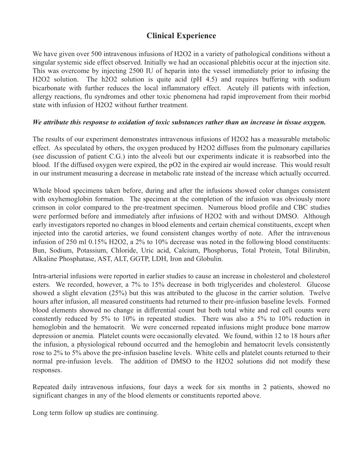# **Clinical Experience**

We have given over 500 intravenous infusions of H2O2 in a variety of pathological conditions without a singular systemic side effect observed. Initially we had an occasional phlebitis occur at the injection site. This was overcome by injecting 2500 IU of heparin into the vessel immediately prior to infusing the H<sub>2</sub>O<sub>2</sub> solution. The h<sub>2</sub>O<sub>2</sub> solution is quite acid (pH 4.5) and requires buffering with sodium bicarbonate with further reduces the local inflammatory effect. Acutely ill patients with infection, allergy reactions, flu syndromes and other toxic phenomena had rapid improvement from their morbid state with infusion of H2O2 without further treatment.

#### *We attribute this response to oxidation of toxic substances rather than an increase in tissue oxygen.*

The results of our experiment demonstrates intravenous infusions of H2O2 has a measurable metabolic effect. As speculated by others, the oxygen produced by H2O2 diffuses from the pulmonary capillaries (see discussion of patient C.G.) into the alveoli but our experiments indicate it is reabsorbed into the blood. If the diffused oxygen were expired, the pO2 in the expired air would increase. This would result in our instrument measuring a decrease in metabolic rate instead of the increase which actually occurred.

Whole blood specimens taken before, during and after the infusions showed color changes consistent with oxyhemoglobin formation. The specimen at the completion of the infusion was obviously more crimson in color compared to the pre-treatment specimen. Numerous blood profile and CBC studies were performed before and immediately after infusions of H2O2 with and without DMSO. Although early investigators reported no changes in blood elements and certain chemical constituents, except when injected into the carotid arteries, we found consistent changes worthy of note. After the intravenous infusion of 250 ml 0.15% H2O2, a 2% to 10% decrease was noted in the following blood constituents: Bun, Sodium, Potassium, Chloride, Uric acid, Calcium, Phosphorus, Total Protein, Total Bilirubin, Alkaline Phosphatase, AST, ALT, GGTP, LDH, Iron and Globulin.

Intra-arterial infusions were reported in earlier studies to cause an increase in cholesterol and cholesterol esters. We recorded, however, a 7% to 15% decrease in both triglycerides and cholesterol. Glucose showed a slight elevation (25%) but this was attributed to the glucose in the carrier solution. Twelve hours after infusion, all measured constituents had returned to their pre-infusion baseline levels. Formed blood elements showed no change in differential count but both total white and red cell counts were constently reduced by 5% to 10% in repeated studies. There was also a 5% to 10% reduction in hemoglobin and the hematocrit. We were concerned repeated infusions might produce bone marrow depression or anemia. Platelet counts were occasionally elevated. We found, within 12 to 18 hours after the infusion, a physiological rebound occurred and the hemoglobin and hematocrit levels consistently rose to 2% to 5% above the pre-infusion baseline levels. White cells and platelet counts returned to their normal pre-infusion levels. The addition of DMSO to the H2O2 solutions did not modify these responses.

Repeated daily intravenous infusions, four days a week for six months in 2 patients, showed no significant changes in any of the blood elements or constituents reported above.

Long term follow up studies are continuing.